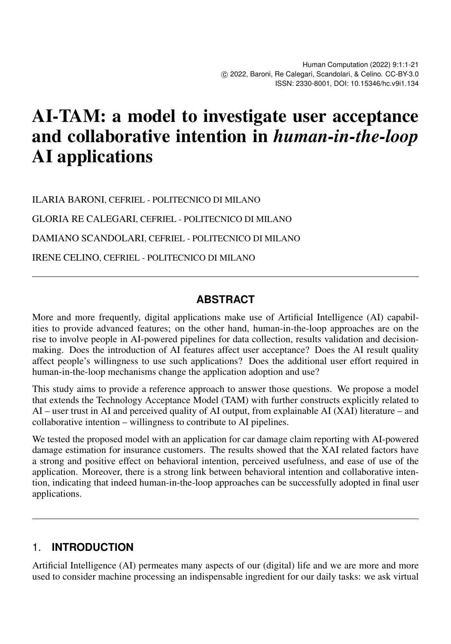# AI-TAM: a model to investigate user acceptance and collaborative intention in *human-in-the-loop* AI applications

ILARIA BARONI, CEFRIEL - POLITECNICO DI MILANO

GLORIA RE CALEGARI, CEFRIEL - POLITECNICO DI MILANO

DAMIANO SCANDOLARI, CEFRIEL - POLITECNICO DI MILANO

IRENE CELINO, CEFRIEL - POLITECNICO DI MILANO

#### **ABSTRACT**

More and more frequently, digital applications make use of Artificial Intelligence (AI) capabilities to provide advanced features; on the other hand, human-in-the-loop approaches are on the rise to involve people in AI-powered pipelines for data collection, results validation and decisionmaking. Does the introduction of AI features affect user acceptance? Does the AI result quality affect people's willingness to use such applications? Does the additional user effort required in human-in-the-loop mechanisms change the application adoption and use?

This study aims to provide a reference approach to answer those questions. We propose a model that extends the Technology Acceptance Model (TAM) with further constructs explicitly related to AI – user trust in AI and perceived quality of AI output, from explainable AI (XAI) literature – and collaborative intention – willingness to contribute to AI pipelines.

We tested the proposed model with an application for car damage claim reporting with AI-powered damage estimation for insurance customers. The results showed that the XAI related factors have a strong and positive effect on behavioral intention, perceived usefulness, and ease of use of the application. Moreover, there is a strong link between behavioral intention and collaborative intention, indicating that indeed human-in-the-loop approaches can be successfully adopted in final user applications.

#### 1. **INTRODUCTION**

Artificial Intelligence (AI) permeates many aspects of our (digital) life and we are more and more used to consider machine processing an indispensable ingredient for our daily tasks: we ask virtual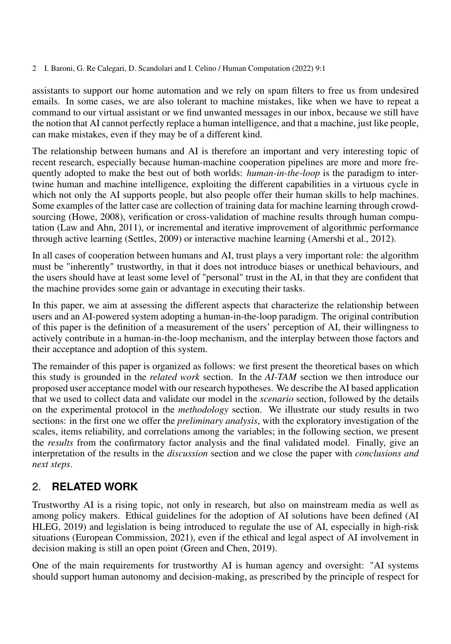assistants to support our home automation and we rely on spam filters to free us from undesired emails. In some cases, we are also tolerant to machine mistakes, like when we have to repeat a command to our virtual assistant or we find unwanted messages in our inbox, because we still have the notion that AI cannot perfectly replace a human intelligence, and that a machine, just like people, can make mistakes, even if they may be of a different kind.

The relationship between humans and AI is therefore an important and very interesting topic of recent research, especially because human-machine cooperation pipelines are more and more frequently adopted to make the best out of both worlds: *human-in-the-loop* is the paradigm to intertwine human and machine intelligence, exploiting the different capabilities in a virtuous cycle in which not only the AI supports people, but also people offer their human skills to help machines. Some examples of the latter case are collection of training data for machine learning through crowdsourcing [\(Howe, 2008\)](#page-14-0), verification or cross-validation of machine results through human computation [\(Law and Ahn, 2011\)](#page-15-0), or incremental and iterative improvement of algorithmic performance through active learning [\(Settles, 2009\)](#page-15-1) or interactive machine learning [\(Amershi et al., 2012\)](#page-14-1).

In all cases of cooperation between humans and AI, trust plays a very important role: the algorithm must be "inherently" trustworthy, in that it does not introduce biases or unethical behaviours, and the users should have at least some level of "personal" trust in the AI, in that they are confident that the machine provides some gain or advantage in executing their tasks.

In this paper, we aim at assessing the different aspects that characterize the relationship between users and an AI-powered system adopting a human-in-the-loop paradigm. The original contribution of this paper is the definition of a measurement of the users' perception of AI, their willingness to actively contribute in a human-in-the-loop mechanism, and the interplay between those factors and their acceptance and adoption of this system.

The remainder of this paper is organized as follows: we first present the theoretical bases on which this study is grounded in the *related work* section. In the *AI-TAM* section we then introduce our proposed user acceptance model with our research hypotheses. We describe the AI based application that we used to collect data and validate our model in the *scenario* section, followed by the details on the experimental protocol in the *methodology* section. We illustrate our study results in two sections: in the first one we offer the *preliminary analysis*, with the exploratory investigation of the scales, items reliability, and correlations among the variables; in the following section, we present the *results* from the confirmatory factor analysis and the final validated model. Finally, give an interpretation of the results in the *discussion* section and we close the paper with *conclusions and next steps*.

#### 2. **RELATED WORK**

Trustworthy AI is a rising topic, not only in research, but also on mainstream media as well as among policy makers. Ethical guidelines for the adoption of AI solutions have been defined [\(AI](#page-14-2) [HLEG, 2019\)](#page-14-2) and legislation is being introduced to regulate the use of AI, especially in high-risk situations [\(European Commission, 2021\)](#page-14-3), even if the ethical and legal aspect of AI involvement in decision making is still an open point [\(Green and Chen, 2019\)](#page-14-4).

One of the main requirements for trustworthy AI is human agency and oversight: "AI systems should support human autonomy and decision-making, as prescribed by the principle of respect for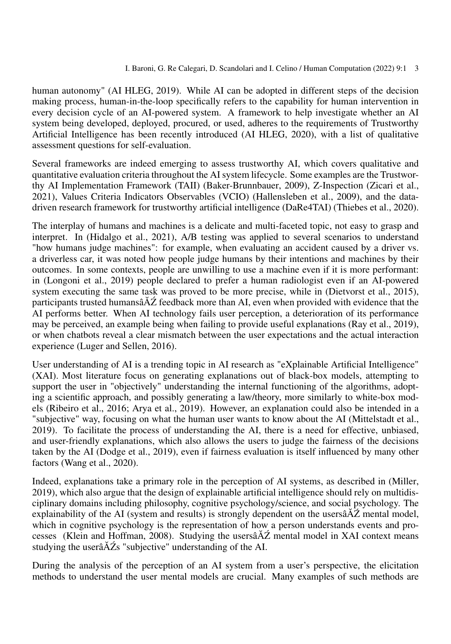human autonomy" [\(AI HLEG, 2019\)](#page-14-2). While AI can be adopted in different steps of the decision making process, human-in-the-loop specifically refers to the capability for human intervention in every decision cycle of an AI-powered system. A framework to help investigate whether an AI system being developed, deployed, procured, or used, adheres to the requirements of Trustworthy Artificial Intelligence has been recently introduced [\(AI HLEG, 2020\)](#page-14-5), with a list of qualitative assessment questions for self-evaluation.

Several frameworks are indeed emerging to assess trustworthy AI, which covers qualitative and quantitative evaluation criteria throughout the AI system lifecycle. Some examples are the Trustworthy AI Implementation Framework (TAII) [\(Baker-Brunnbauer, 2009\)](#page-14-6), Z-Inspection [\(Zicari et al.,](#page-15-2) [2021\)](#page-15-2), Values Criteria Indicators Observables (VCIO) [\(Hallensleben et al., 2009\)](#page-14-7), and the datadriven research framework for trustworthy artificial intelligence (DaRe4TAI) [\(Thiebes et al., 2020\)](#page-15-3).

The interplay of humans and machines is a delicate and multi-faceted topic, not easy to grasp and interpret. In [\(Hidalgo et al., 2021\)](#page-14-8), A/B testing was applied to several scenarios to understand "how humans judge machines": for example, when evaluating an accident caused by a driver vs. a driverless car, it was noted how people judge humans by their intentions and machines by their outcomes. In some contexts, people are unwilling to use a machine even if it is more performant: in [\(Longoni et al., 2019\)](#page-15-4) people declared to prefer a human radiologist even if an AI-powered system executing the same task was proved to be more precise, while in [\(Dietvorst et al., 2015\)](#page-14-9), participants trusted humansâ $\tilde{A}\tilde{Z}$  feedback more than AI, even when provided with evidence that the AI performs better. When AI technology fails user perception, a deterioration of its performance may be perceived, an example being when failing to provide useful explanations [\(Ray et al., 2019\)](#page-15-5), or when chatbots reveal a clear mismatch between the user expectations and the actual interaction experience [\(Luger and Sellen, 2016\)](#page-15-6).

User understanding of AI is a trending topic in AI research as "eXplainable Artificial Intelligence" (XAI). Most literature focus on generating explanations out of black-box models, attempting to support the user in "objectively" understanding the internal functioning of the algorithms, adopting a scientific approach, and possibly generating a law/theory, more similarly to white-box models [\(Ribeiro et al., 2016;](#page-15-7) [Arya et al., 2019\)](#page-14-10). However, an explanation could also be intended in a "subjective" way, focusing on what the human user wants to know about the AI [\(Mittelstadt et al.,](#page-15-8) [2019\)](#page-15-8). To facilitate the process of understanding the AI, there is a need for effective, unbiased, and user-friendly explanations, which also allows the users to judge the fairness of the decisions taken by the AI [\(Dodge et al., 2019\)](#page-14-11), even if fairness evaluation is itself influenced by many other factors [\(Wang et al., 2020\)](#page-15-9).

Indeed, explanations take a primary role in the perception of AI systems, as described in [\(Miller,](#page-15-10) [2019\)](#page-15-10), which also argue that the design of explainable artificial intelligence should rely on multidisciplinary domains including philosophy, cognitive psychology/science, and social psychology. The explainability of the AI (system and results) is strongly dependent on the users $\tilde{A}Z$  mental model, which in cognitive psychology is the representation of how a person understands events and pro-cesses [\(Klein and Hoffman, 2008\)](#page-15-11). Studying the users $\hat{A} \hat{Z}$  mental model in XAI context means studying the user $\tilde{A}Z$ s "subjective" understanding of the AI.

During the analysis of the perception of an AI system from a user's perspective, the elicitation methods to understand the user mental models are crucial. Many examples of such methods are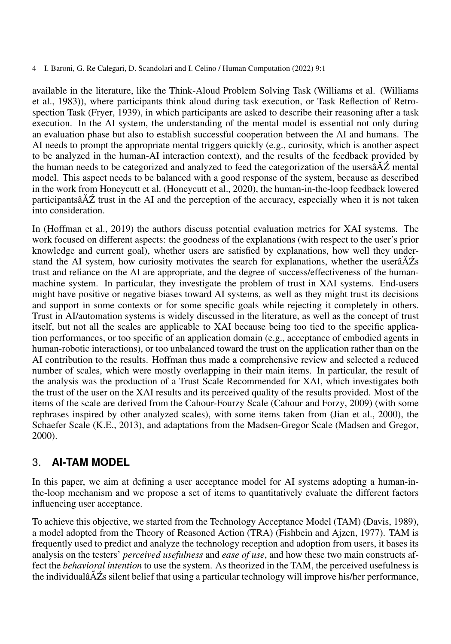available in the literature, like the Think-Aloud Problem Solving Task (Williams et al. [\(Williams](#page-15-12) [et al., 1983\)](#page-15-12)), where participants think aloud during task execution, or Task Reflection of Retrospection Task [\(Fryer, 1939\)](#page-14-12), in which participants are asked to describe their reasoning after a task execution. In the AI system, the understanding of the mental model is essential not only during an evaluation phase but also to establish successful cooperation between the AI and humans. The AI needs to prompt the appropriate mental triggers quickly (e.g., curiosity, which is another aspect to be analyzed in the human-AI interaction context), and the results of the feedback provided by the human needs to be categorized and analyzed to feed the categorization of the users $\hat{A}Z$  mental model. This aspect needs to be balanced with a good response of the system, because as described in the work from Honeycutt et al. [\(Honeycutt et al., 2020\)](#page-14-13), the human-in-the-loop feedback lowered participantsâ $\Delta \tilde{Z}$  trust in the AI and the perception of the accuracy, especially when it is not taken into consideration.

In [\(Hoffman et al., 2019\)](#page-14-14) the authors discuss potential evaluation metrics for XAI systems. The work focused on different aspects: the goodness of the explanations (with respect to the user's prior knowledge and current goal), whether users are satisfied by explanations, how well they understand the AI system, how curiosity motivates the search for explanations, whether the user $\tilde{A}Z$ s trust and reliance on the AI are appropriate, and the degree of success/effectiveness of the humanmachine system. In particular, they investigate the problem of trust in XAI systems. End-users might have positive or negative biases toward AI systems, as well as they might trust its decisions and support in some contexts or for some specific goals while rejecting it completely in others. Trust in AI/automation systems is widely discussed in the literature, as well as the concept of trust itself, but not all the scales are applicable to XAI because being too tied to the specific application performances, or too specific of an application domain (e.g., acceptance of embodied agents in human-robotic interactions), or too unbalanced toward the trust on the application rather than on the AI contribution to the results. Hoffman thus made a comprehensive review and selected a reduced number of scales, which were mostly overlapping in their main items. In particular, the result of the analysis was the production of a Trust Scale Recommended for XAI, which investigates both the trust of the user on the XAI results and its perceived quality of the results provided. Most of the items of the scale are derived from the Cahour-Fourzy Scale [\(Cahour and Forzy, 2009\)](#page-14-15) (with some rephrases inspired by other analyzed scales), with some items taken from [\(Jian et al., 2000\)](#page-14-16), the Schaefer Scale [\(K.E., 2013\)](#page-15-13), and adaptations from the Madsen-Gregor Scale [\(Madsen and Gregor,](#page-15-14) [2000\)](#page-15-14).

#### 3. **AI-TAM MODEL**

In this paper, we aim at defining a user acceptance model for AI systems adopting a human-inthe-loop mechanism and we propose a set of items to quantitatively evaluate the different factors influencing user acceptance.

To achieve this objective, we started from the Technology Acceptance Model (TAM) [\(Davis, 1989\)](#page-14-17), a model adopted from the Theory of Reasoned Action (TRA) [\(Fishbein and Ajzen, 1977\)](#page-14-18). TAM is frequently used to predict and analyze the technology reception and adoption from users, it bases its analysis on the testers' *perceived usefulness* and *ease of use*, and how these two main constructs affect the *behavioral intention* to use the system. As theorized in the TAM, the perceived usefulness is the individualâ $\Delta Z$ s silent belief that using a particular technology will improve his/her performance,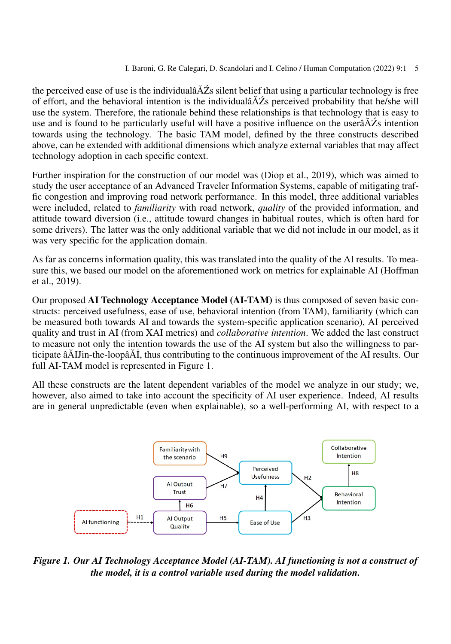the perceived ease of use is the individual $\angle A\angle Z$ s silent belief that using a particular technology is free of effort, and the behavioral intention is the individual $\tilde{A}Z$ s perceived probability that he/she will use the system. Therefore, the rationale behind these relationships is that technology that is easy to use and is found to be particularly useful will have a positive influence on the user $\tilde{A}Z$ s intention towards using the technology. The basic TAM model, defined by the three constructs described above, can be extended with additional dimensions which analyze external variables that may affect technology adoption in each specific context.

Further inspiration for the construction of our model was [\(Diop et al., 2019\)](#page-14-19), which was aimed to study the user acceptance of an Advanced Traveler Information Systems, capable of mitigating traffic congestion and improving road network performance. In this model, three additional variables were included, related to *familiarity* with road network, *quality* of the provided information, and attitude toward diversion (i.e., attitude toward changes in habitual routes, which is often hard for some drivers). The latter was the only additional variable that we did not include in our model, as it was very specific for the application domain.

As far as concerns information quality, this was translated into the quality of the AI results. To measure this, we based our model on the aforementioned work on metrics for explainable AI [\(Hoffman](#page-14-14) [et al., 2019\)](#page-14-14).

Our proposed AI Technology Acceptance Model (AI-TAM) is thus composed of seven basic constructs: perceived usefulness, ease of use, behavioral intention (from TAM), familiarity (which can be measured both towards AI and towards the system-specific application scenario), AI perceived quality and trust in AI (from XAI metrics) and *collaborative intention*. We added the last construct to measure not only the intention towards the use of the AI system but also the willingness to participate âAIJin-the-loopâAI, thus contributing to the continuous improvement of the AI results. Our full AI-TAM model is represented in Figure [1.](#page-4-0)

All these constructs are the latent dependent variables of the model we analyze in our study; we, however, also aimed to take into account the specificity of AI user experience. Indeed, AI results are in general unpredictable (even when explainable), so a well-performing AI, with respect to a

<span id="page-4-0"></span>

*Figure 1. Our AI Technology Acceptance Model (AI-TAM). AI functioning is not a construct of the model, it is a control variable used during the model validation.*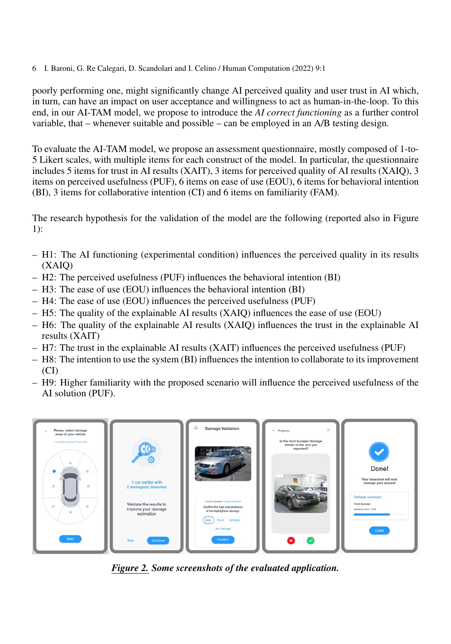poorly performing one, might significantly change AI perceived quality and user trust in AI which, in turn, can have an impact on user acceptance and willingness to act as human-in-the-loop. To this end, in our AI-TAM model, we propose to introduce the *AI correct functioning* as a further control variable, that – whenever suitable and possible – can be employed in an A/B testing design.

To evaluate the AI-TAM model, we propose an assessment questionnaire, mostly composed of 1-to-5 Likert scales, with multiple items for each construct of the model. In particular, the questionnaire includes 5 items for trust in AI results (XAIT), 3 items for perceived quality of AI results (XAIQ), 3 items on perceived usefulness (PUF), 6 items on ease of use (EOU), 6 items for behavioral intention (BI), 3 items for collaborative intention (CI) and 6 items on familiarity (FAM).

The research hypothesis for the validation of the model are the following (reported also in Figure [1\)](#page-4-0):

- H1: The AI functioning (experimental condition) influences the perceived quality in its results (XAIQ)
- H2: The perceived usefulness (PUF) influences the behavioral intention (BI)
- H3: The ease of use (EOU) influences the behavioral intention (BI)
- H4: The ease of use (EOU) influences the perceived usefulness (PUF)
- H5: The quality of the explainable AI results (XAIQ) influences the ease of use (EOU)
- H6: The quality of the explainable AI results (XAIQ) influences the trust in the explainable AI results (XAIT)
- H7: The trust in the explainable AI results (XAIT) influences the perceived usefulness (PUF)
- H8: The intention to use the system (BI) influences the intention to collaborate to its improvement (CI)
- H9: Higher familiarity with the proposed scenario will influence the perceived usefulness of the AI solution (PUF).

<span id="page-5-0"></span>

*Figure 2. Some screenshots of the evaluated application.*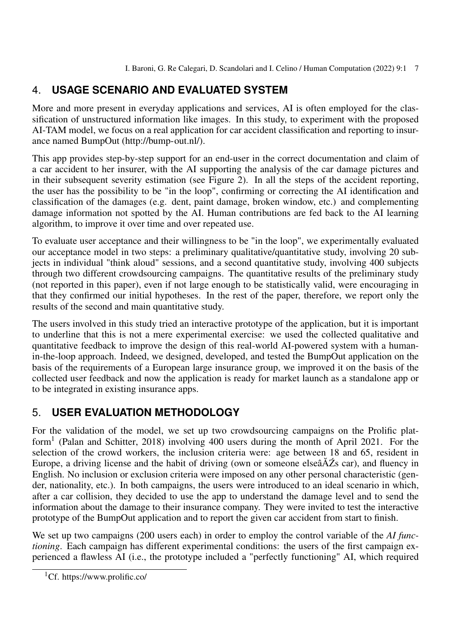# 4. **USAGE SCENARIO AND EVALUATED SYSTEM**

More and more present in everyday applications and services, AI is often employed for the classification of unstructured information like images. In this study, to experiment with the proposed AI-TAM model, we focus on a real application for car accident classification and reporting to insurance named BumpOut [\(http://bump-out.nl/\)](http://bump-out.nl/).

This app provides step-by-step support for an end-user in the correct documentation and claim of a car accident to her insurer, with the AI supporting the analysis of the car damage pictures and in their subsequent severity estimation (see Figure [2\)](#page-5-0). In all the steps of the accident reporting, the user has the possibility to be "in the loop", confirming or correcting the AI identification and classification of the damages (e.g. dent, paint damage, broken window, etc.) and complementing damage information not spotted by the AI. Human contributions are fed back to the AI learning algorithm, to improve it over time and over repeated use.

To evaluate user acceptance and their willingness to be "in the loop", we experimentally evaluated our acceptance model in two steps: a preliminary qualitative/quantitative study, involving 20 subjects in individual "think aloud" sessions, and a second quantitative study, involving 400 subjects through two different crowdsourcing campaigns. The quantitative results of the preliminary study (not reported in this paper), even if not large enough to be statistically valid, were encouraging in that they confirmed our initial hypotheses. In the rest of the paper, therefore, we report only the results of the second and main quantitative study.

The users involved in this study tried an interactive prototype of the application, but it is important to underline that this is not a mere experimental exercise: we used the collected qualitative and quantitative feedback to improve the design of this real-world AI-powered system with a humanin-the-loop approach. Indeed, we designed, developed, and tested the BumpOut application on the basis of the requirements of a European large insurance group, we improved it on the basis of the collected user feedback and now the application is ready for market launch as a standalone app or to be integrated in existing insurance apps.

## 5. **USER EVALUATION METHODOLOGY**

For the validation of the model, we set up two crowdsourcing campaigns on the Prolific plat-form<sup>[1](#page-6-0)</sup> [\(Palan and Schitter, 2018\)](#page-15-15) involving 400 users during the month of April 2021. For the selection of the crowd workers, the inclusion criteria were: age between 18 and 65, resident in Europe, a driving license and the habit of driving (own or someone else $\hat{A}Z$ s car), and fluency in English. No inclusion or exclusion criteria were imposed on any other personal characteristic (gender, nationality, etc.). In both campaigns, the users were introduced to an ideal scenario in which, after a car collision, they decided to use the app to understand the damage level and to send the information about the damage to their insurance company. They were invited to test the interactive prototype of the BumpOut application and to report the given car accident from start to finish.

We set up two campaigns (200 users each) in order to employ the control variable of the *AI functioning*. Each campaign has different experimental conditions: the users of the first campaign experienced a flawless AI (i.e., the prototype included a "perfectly functioning" AI, which required

<span id="page-6-0"></span><sup>1</sup>Cf.<https://www.prolific.co/>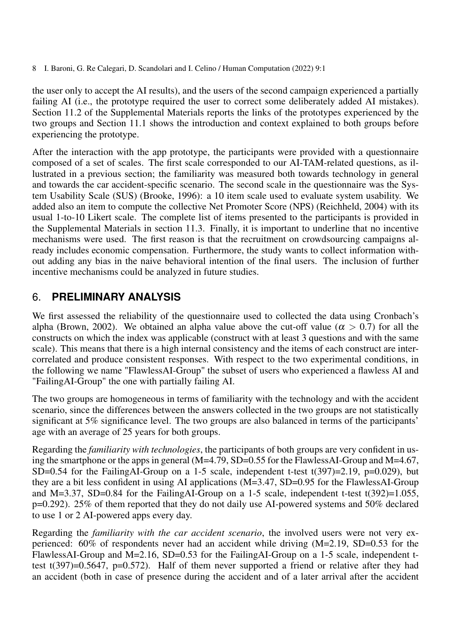the user only to accept the AI results), and the users of the second campaign experienced a partially failing AI (i.e., the prototype required the user to correct some deliberately added AI mistakes). Section [11.2](#page-17-0) of the Supplemental Materials reports the links of the prototypes experienced by the two groups and Section [11.1](#page-16-0) shows the introduction and context explained to both groups before experiencing the prototype.

After the interaction with the app prototype, the participants were provided with a questionnaire composed of a set of scales. The first scale corresponded to our AI-TAM-related questions, as illustrated in a previous section; the familiarity was measured both towards technology in general and towards the car accident-specific scenario. The second scale in the questionnaire was the System Usability Scale (SUS) [\(Brooke, 1996\)](#page-14-20): a 10 item scale used to evaluate system usability. We added also an item to compute the collective Net Promoter Score (NPS) [\(Reichheld, 2004\)](#page-15-16) with its usual 1-to-10 Likert scale. The complete list of items presented to the participants is provided in the Supplemental Materials in section [11.3.](#page-17-1) Finally, it is important to underline that no incentive mechanisms were used. The first reason is that the recruitment on crowdsourcing campaigns already includes economic compensation. Furthermore, the study wants to collect information without adding any bias in the naive behavioral intention of the final users. The inclusion of further incentive mechanisms could be analyzed in future studies.

#### 6. **PRELIMINARY ANALYSIS**

We first assessed the reliability of the questionnaire used to collected the data using Cronbach's alpha [\(Brown, 2002\)](#page-14-21). We obtained an alpha value above the cut-off value ( $\alpha > 0.7$ ) for all the constructs on which the index was applicable (construct with at least 3 questions and with the same scale). This means that there is a high internal consistency and the items of each construct are intercorrelated and produce consistent responses. With respect to the two experimental conditions, in the following we name "FlawlessAI-Group" the subset of users who experienced a flawless AI and "FailingAI-Group" the one with partially failing AI.

The two groups are homogeneous in terms of familiarity with the technology and with the accident scenario, since the differences between the answers collected in the two groups are not statistically significant at 5% significance level. The two groups are also balanced in terms of the participants' age with an average of 25 years for both groups.

Regarding the *familiarity with technologies*, the participants of both groups are very confident in using the smartphone or the apps in general (M=4.79, SD=0.55 for the FlawlessAI-Group and M=4.67, SD=0.54 for the FailingAI-Group on a 1-5 scale, independent t-test  $t(397)=2.19$ ,  $p=0.029$ ), but they are a bit less confident in using AI applications (M=3.47, SD=0.95 for the FlawlessAI-Group and M=3.37, SD=0.84 for the FailingAI-Group on a 1-5 scale, independent t-test t(392)=1.055, p=0.292). 25% of them reported that they do not daily use AI-powered systems and 50% declared to use 1 or 2 AI-powered apps every day.

Regarding the *familiarity with the car accident scenario*, the involved users were not very experienced:  $60\%$  of respondents never had an accident while driving  $(M=2.19, SD=0.53$  for the FlawlessAI-Group and M=2.16, SD=0.53 for the FailingAI-Group on a 1-5 scale, independent ttest t(397)=0.5647, p=0.572). Half of them never supported a friend or relative after they had an accident (both in case of presence during the accident and of a later arrival after the accident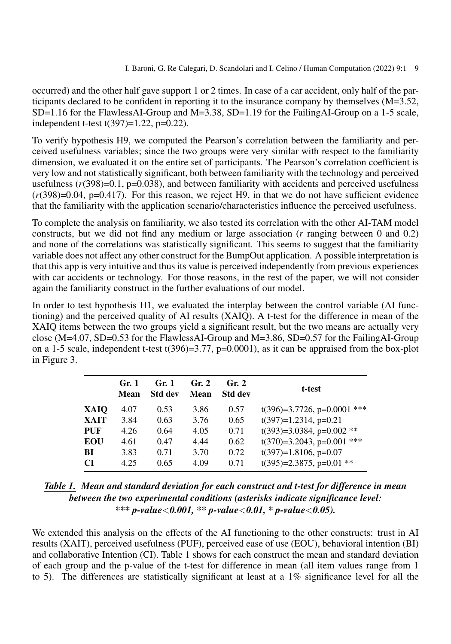occurred) and the other half gave support 1 or 2 times. In case of a car accident, only half of the participants declared to be confident in reporting it to the insurance company by themselves (M=3.52, SD=1.16 for the FlawlessAI-Group and M=3.38, SD=1.19 for the FailingAI-Group on a 1-5 scale, independent t-test  $t(397)=1.22$ ,  $p=0.22$ ).

To verify hypothesis H9, we computed the Pearson's correlation between the familiarity and perceived usefulness variables; since the two groups were very similar with respect to the familiarity dimension, we evaluated it on the entire set of participants. The Pearson's correlation coefficient is very low and not statistically significant, both between familiarity with the technology and perceived usefulness  $(r(398)=0.1, p=0.038)$ , and between familiarity with accidents and perceived usefulness  $(r(398)=0.04, p=0.417)$ . For this reason, we reject H9, in that we do not have sufficient evidence that the familiarity with the application scenario/characteristics influence the perceived usefulness.

To complete the analysis on familiarity, we also tested its correlation with the other AI-TAM model constructs, but we did not find any medium or large association (*r* ranging between 0 and 0.2) and none of the correlations was statistically significant. This seems to suggest that the familiarity variable does not affect any other construct for the BumpOut application. A possible interpretation is that this app is very intuitive and thus its value is perceived independently from previous experiences with car accidents or technology. For those reasons, in the rest of the paper, we will not consider again the familiarity construct in the further evaluations of our model.

In order to test hypothesis H1, we evaluated the interplay between the control variable (AI functioning) and the perceived quality of AI results (XAIQ). A t-test for the difference in mean of the XAIQ items between the two groups yield a significant result, but the two means are actually very close (M=4.07, SD=0.53 for the FlawlessAI-Group and M=3.86, SD=0.57 for the FailingAI-Group on a 1-5 scale, independent t-test t(396)=3.77,  $p=0.0001$ ), as it can be appraised from the box-plot in Figure [3.](#page-9-0)

<span id="page-8-0"></span>

|            | Gr. 1<br>Mean | Gr. 1<br><b>Std dev</b> | Gr. 2<br>Mean | Gr. 2<br><b>Std dev</b> | t-test                         |
|------------|---------------|-------------------------|---------------|-------------------------|--------------------------------|
| XAIO       | 4.07          | 0.53                    | 3.86          | 0.57                    | $t(396)=3.7726$ , p=0.0001 *** |
| XAIT       | 3.84          | 0.63                    | 3.76          | 0.65                    | $t(397)=1.2314$ , p=0.21       |
| PUF        | 4.26          | 0.64                    | 4.05          | 0.71                    | $t(393)=3.0384$ , p=0.002 **   |
| <b>EOU</b> | 4.61          | 0.47                    | 4.44          | 0.62                    | $t(370)=3.2043$ , p=0.001 ***  |
| BI         | 3.83          | 0.71                    | 3.70          | 0.72                    | $t(397)=1.8106$ , p=0.07       |
| <b>CI</b>  | 4.25          | 0.65                    | 4.09          | 0.71                    | $t(395)=2.3875$ , p=0.01 **    |

| Table 1. Mean and standard deviation for each construct and t-test for difference in mean |
|-------------------------------------------------------------------------------------------|
| between the two experimental conditions (asterisks indicate significance level:           |
| *** p-value < 0.001, ** p-value < 0.01, * p-value < 0.05).                                |

We extended this analysis on the effects of the AI functioning to the other constructs: trust in AI results (XAIT), perceived usefulness (PUF), perceived ease of use (EOU), behavioral intention (BI) and collaborative Intention (CI). Table [1](#page-8-0) shows for each construct the mean and standard deviation of each group and the p-value of the t-test for difference in mean (all item values range from 1 to 5). The differences are statistically significant at least at a 1% significance level for all the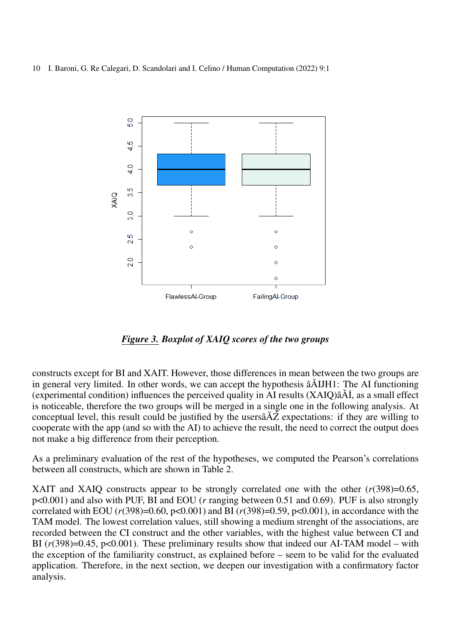<span id="page-9-0"></span>

*Figure 3. Boxplot of XAIQ scores of the two groups*

constructs except for BI and XAIT. However, those differences in mean between the two groups are in general very limited. In other words, we can accept the hypothesis  $\tilde{a}$  AIJH1: The AI functioning (experimental condition) influences the perceived quality in AI results  $(XAIQ)\hat{a} \hat{A} \hat{I}$ , as a small effect is noticeable, therefore the two groups will be merged in a single one in the following analysis. At conceptual level, this result could be justified by the users $\hat{A}Z$  expectations: if they are willing to cooperate with the app (and so with the AI) to achieve the result, the need to correct the output does not make a big difference from their perception.

As a preliminary evaluation of the rest of the hypotheses, we computed the Pearson's correlations between all constructs, which are shown in Table [2.](#page-10-0)

XAIT and XAIQ constructs appear to be strongly correlated one with the other (*r*(398)=0.65, p<0.001) and also with PUF, BI and EOU (*r* ranging between 0.51 and 0.69). PUF is also strongly correlated with EOU (*r*(398)=0.60, p<0.001) and BI (*r*(398)=0.59, p<0.001), in accordance with the TAM model. The lowest correlation values, still showing a medium strenght of the associations, are recorded between the CI construct and the other variables, with the highest value between CI and BI  $(r(398)=0.45, p<0.001)$ . These preliminary results show that indeed our AI-TAM model – with the exception of the familiarity construct, as explained before – seem to be valid for the evaluated application. Therefore, in the next section, we deepen our investigation with a confirmatory factor analysis.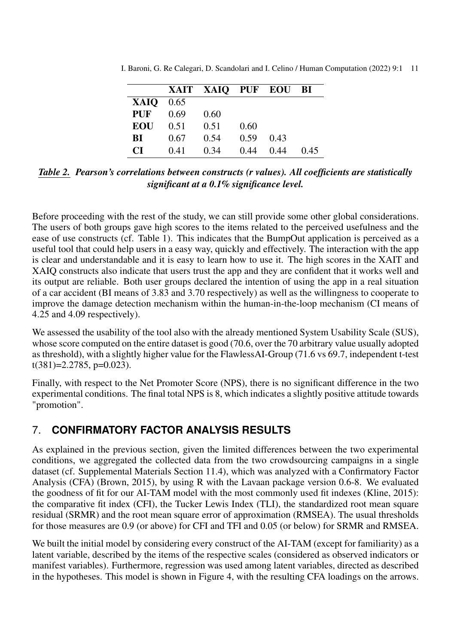|      |      | XAIT XAIQ PUF EOU BI |      |      |     |
|------|------|----------------------|------|------|-----|
| XAIQ | 0.65 |                      |      |      |     |
| PUF  | 0.69 | 0.60                 |      |      |     |
| EOU  | 0.51 | 0.51                 | 0.60 |      |     |
| BI   | 0.67 | 0.54                 | 0.59 | 0.43 |     |
| CІ   | 0.41 | 0.34                 | 0.44 | 0.44 | 045 |

<span id="page-10-0"></span>I. Baroni, G. Re Calegari, D. Scandolari and I. Celino / Human Computation (2022) 9:1 11

*Table 2. Pearson's correlations between constructs (r values). All coefficients are statistically significant at a 0.1% significance level.*

Before proceeding with the rest of the study, we can still provide some other global considerations. The users of both groups gave high scores to the items related to the perceived usefulness and the ease of use constructs (cf. Table [1\)](#page-8-0). This indicates that the BumpOut application is perceived as a useful tool that could help users in a easy way, quickly and effectively. The interaction with the app is clear and understandable and it is easy to learn how to use it. The high scores in the XAIT and XAIQ constructs also indicate that users trust the app and they are confident that it works well and its output are reliable. Both user groups declared the intention of using the app in a real situation of a car accident (BI means of 3.83 and 3.70 respectively) as well as the willingness to cooperate to improve the damage detection mechanism within the human-in-the-loop mechanism (CI means of 4.25 and 4.09 respectively).

We assessed the usability of the tool also with the already mentioned System Usability Scale (SUS), whose score computed on the entire dataset is good (70.6, over the 70 arbitrary value usually adopted as threshold), with a slightly higher value for the FlawlessAI-Group (71.6 vs 69.7, independent t-test  $t(381)=2.2785$ , p=0.023).

Finally, with respect to the Net Promoter Score (NPS), there is no significant difference in the two experimental conditions. The final total NPS is 8, which indicates a slightly positive attitude towards "promotion".

# 7. **CONFIRMATORY FACTOR ANALYSIS RESULTS**

As explained in the previous section, given the limited differences between the two experimental conditions, we aggregated the collected data from the two crowdsourcing campaigns in a single dataset (cf. Supplemental Materials Section [11.4\)](#page-20-0), which was analyzed with a Confirmatory Factor Analysis (CFA) [\(Brown, 2015\)](#page-14-22), by using R with the Lavaan package version 0.6-8. We evaluated the goodness of fit for our AI-TAM model with the most commonly used fit indexes [\(Kline, 2015\)](#page-15-17): the comparative fit index (CFI), the Tucker Lewis Index (TLI), the standardized root mean square residual (SRMR) and the root mean square error of approximation (RMSEA). The usual thresholds for those measures are 0.9 (or above) for CFI and TFI and 0.05 (or below) for SRMR and RMSEA.

We built the initial model by considering every construct of the AI-TAM (except for familiarity) as a latent variable, described by the items of the respective scales (considered as observed indicators or manifest variables). Furthermore, regression was used among latent variables, directed as described in the hypotheses. This model is shown in Figure [4,](#page-11-0) with the resulting CFA loadings on the arrows.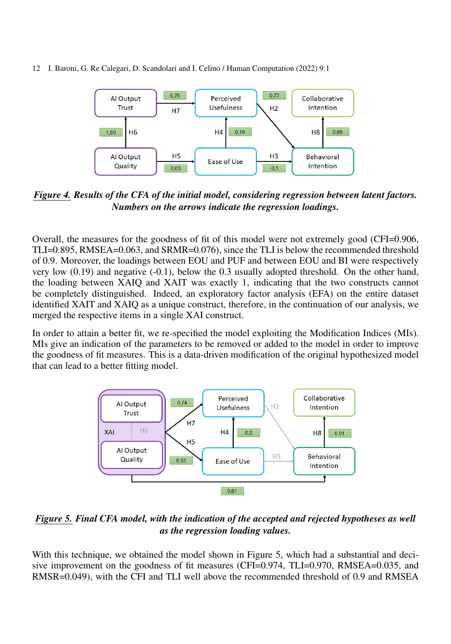<span id="page-11-0"></span>

*Figure 4. Results of the CFA of the initial model, considering regression between latent factors. Numbers on the arrows indicate the regression loadings.*

Overall, the measures for the goodness of fit of this model were not extremely good (CFI=0.906, TLI=0.895, RMSEA=0.063, and SRMR=0.076), since the TLI is below the recommended threshold of 0.9. Moreover, the loadings between EOU and PUF and between EOU and BI were respectively very low (0.19) and negative (-0.1), below the 0.3 usually adopted threshold. On the other hand, the loading between XAIQ and XAIT was exactly 1, indicating that the two constructs cannot be completely distinguished. Indeed, an exploratory factor analysis (EFA) on the entire dataset identified XAIT and XAIQ as a unique construct, therefore, in the continuation of our analysis, we merged the respective items in a single XAI construct.

<span id="page-11-1"></span>In order to attain a better fit, we re-specified the model exploiting the Modification Indices (MIs). MIs give an indication of the parameters to be removed or added to the model in order to improve the goodness of fit measures. This is a data-driven modification of the original hypothesized model that can lead to a better fitting model.



*Figure 5. Final CFA model, with the indication of the accepted and rejected hypotheses as well as the regression loading values.*

With this technique, we obtained the model shown in Figure [5,](#page-11-1) which had a substantial and deci-sive improvement on the goodness of fit measures (CFI=0.974, TLI=0.970, RMSEA=0.035, and RMSR=0.049), with the CFI and TLI well above the recommended threshold of 0.9 and RMSEA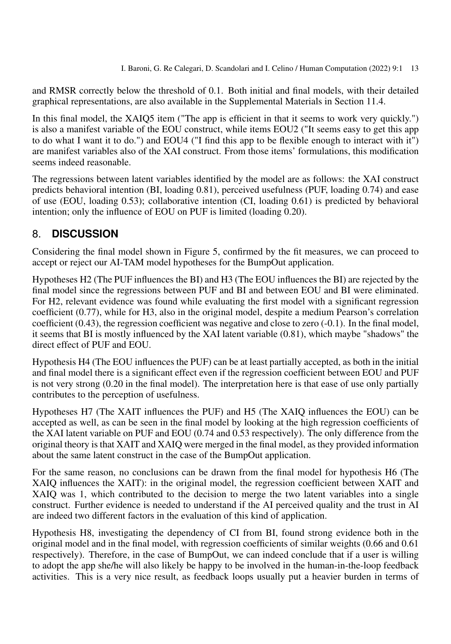and RMSR correctly below the threshold of 0.1. Both initial and final models, with their detailed graphical representations, are also available in the Supplemental Materials in Section [11.4.](#page-20-0)

In this final model, the XAIQ5 item ("The app is efficient in that it seems to work very quickly.") is also a manifest variable of the EOU construct, while items EOU2 ("It seems easy to get this app to do what I want it to do.") and EOU4 ("I find this app to be flexible enough to interact with it") are manifest variables also of the XAI construct. From those items' formulations, this modification seems indeed reasonable.

The regressions between latent variables identified by the model are as follows: the XAI construct predicts behavioral intention (BI, loading 0.81), perceived usefulness (PUF, loading 0.74) and ease of use (EOU, loading 0.53); collaborative intention (CI, loading 0.61) is predicted by behavioral intention; only the influence of EOU on PUF is limited (loading 0.20).

#### 8. **DISCUSSION**

Considering the final model shown in Figure [5,](#page-11-1) confirmed by the fit measures, we can proceed to accept or reject our AI-TAM model hypotheses for the BumpOut application.

Hypotheses H2 (The PUF influences the BI) and H3 (The EOU influences the BI) are rejected by the final model since the regressions between PUF and BI and between EOU and BI were eliminated. For H2, relevant evidence was found while evaluating the first model with a significant regression coefficient (0.77), while for H3, also in the original model, despite a medium Pearson's correlation coefficient (0.43), the regression coefficient was negative and close to zero (-0.1). In the final model, it seems that BI is mostly influenced by the XAI latent variable (0.81), which maybe "shadows" the direct effect of PUF and EOU.

Hypothesis H4 (The EOU influences the PUF) can be at least partially accepted, as both in the initial and final model there is a significant effect even if the regression coefficient between EOU and PUF is not very strong (0.20 in the final model). The interpretation here is that ease of use only partially contributes to the perception of usefulness.

Hypotheses H7 (The XAIT influences the PUF) and H5 (The XAIQ influences the EOU) can be accepted as well, as can be seen in the final model by looking at the high regression coefficients of the XAI latent variable on PUF and EOU (0.74 and 0.53 respectively). The only difference from the original theory is that XAIT and XAIQ were merged in the final model, as they provided information about the same latent construct in the case of the BumpOut application.

For the same reason, no conclusions can be drawn from the final model for hypothesis H6 (The XAIQ influences the XAIT): in the original model, the regression coefficient between XAIT and XAIQ was 1, which contributed to the decision to merge the two latent variables into a single construct. Further evidence is needed to understand if the AI perceived quality and the trust in AI are indeed two different factors in the evaluation of this kind of application.

Hypothesis H8, investigating the dependency of CI from BI, found strong evidence both in the original model and in the final model, with regression coefficients of similar weights (0.66 and 0.61 respectively). Therefore, in the case of BumpOut, we can indeed conclude that if a user is willing to adopt the app she/he will also likely be happy to be involved in the human-in-the-loop feedback activities. This is a very nice result, as feedback loops usually put a heavier burden in terms of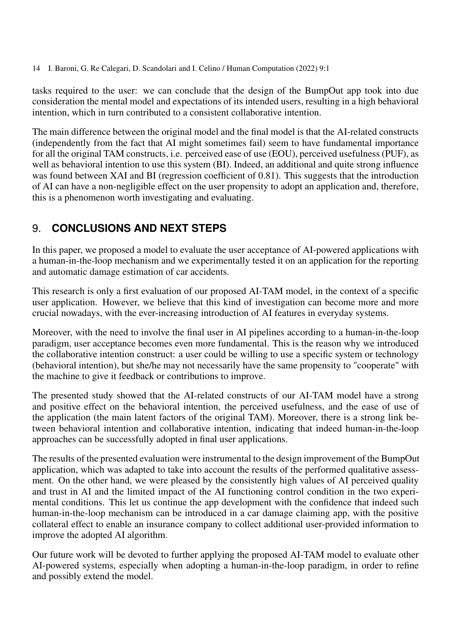tasks required to the user: we can conclude that the design of the BumpOut app took into due consideration the mental model and expectations of its intended users, resulting in a high behavioral intention, which in turn contributed to a consistent collaborative intention.

The main difference between the original model and the final model is that the AI-related constructs (independently from the fact that AI might sometimes fail) seem to have fundamental importance for all the original TAM constructs, i.e. perceived ease of use (EOU), perceived usefulness (PUF), as well as behavioral intention to use this system (BI). Indeed, an additional and quite strong influence was found between XAI and BI (regression coefficient of 0.81). This suggests that the introduction of AI can have a non-negligible effect on the user propensity to adopt an application and, therefore, this is a phenomenon worth investigating and evaluating.

### 9. **CONCLUSIONS AND NEXT STEPS**

In this paper, we proposed a model to evaluate the user acceptance of AI-powered applications with a human-in-the-loop mechanism and we experimentally tested it on an application for the reporting and automatic damage estimation of car accidents.

This research is only a first evaluation of our proposed AI-TAM model, in the context of a specific user application. However, we believe that this kind of investigation can become more and more crucial nowadays, with the ever-increasing introduction of AI features in everyday systems.

Moreover, with the need to involve the final user in AI pipelines according to a human-in-the-loop paradigm, user acceptance becomes even more fundamental. This is the reason why we introduced the collaborative intention construct: a user could be willing to use a specific system or technology (behavioral intention), but she/he may not necessarily have the same propensity to "cooperate" with the machine to give it feedback or contributions to improve.

The presented study showed that the AI-related constructs of our AI-TAM model have a strong and positive effect on the behavioral intention, the perceived usefulness, and the ease of use of the application (the main latent factors of the original TAM). Moreover, there is a strong link between behavioral intention and collaborative intention, indicating that indeed human-in-the-loop approaches can be successfully adopted in final user applications.

The results of the presented evaluation were instrumental to the design improvement of the BumpOut application, which was adapted to take into account the results of the performed qualitative assessment. On the other hand, we were pleased by the consistently high values of AI perceived quality and trust in AI and the limited impact of the AI functioning control condition in the two experimental conditions. This let us continue the app development with the confidence that indeed such human-in-the-loop mechanism can be introduced in a car damage claiming app, with the positive collateral effect to enable an insurance company to collect additional user-provided information to improve the adopted AI algorithm.

Our future work will be devoted to further applying the proposed AI-TAM model to evaluate other AI-powered systems, especially when adopting a human-in-the-loop paradigm, in order to refine and possibly extend the model.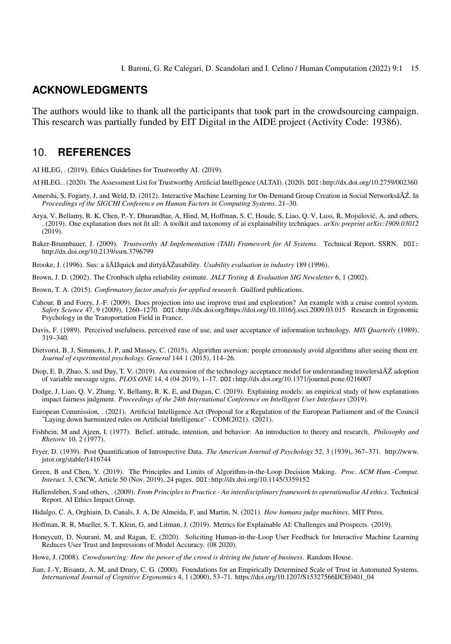#### **ACKNOWLEDGMENTS**

The authors would like to thank all the participants that took part in the crowdsourcing campaign. This research was partially funded by EIT Digital in the AIDE project (Activity Code: 19386).

#### 10. **REFERENCES**

<span id="page-14-2"></span>AI HLEG, . (2019). Ethics Guidelines for Trustworthy AI. (2019).

- <span id="page-14-5"></span>AI HLEG, . (2020). The Assessment List for Trustworthy Artificial Intelligence (ALTAI). (2020). DOI:<http://dx.doi.org/10.2759/002360>
- <span id="page-14-1"></span>Amershi, S, Fogarty, J, and Weld, D. (2012). Interactive Machine Learning for On-Demand Group Creation in Social NetworksâÄZ. In *Proceedings of the SIGCHI Conference on Human Factors in Computing Systems*. 21–30.
- <span id="page-14-10"></span>Arya, V, Bellamy, R. K, Chen, P.-Y, Dhurandhar, A, Hind, M, Hoffman, S. C, Houde, S, Liao, Q. V, Luss, R, Mojsilovic, A, and others, ´ . (2019). One explanation does not fit all: A toolkit and taxonomy of ai explainability techniques. *arXiv preprint arXiv:1909.03012* (2019).
- <span id="page-14-6"></span>Baker-Brunnbauer, J. (2009). *Trustworthy AI Implementation (TAII) Framework for AI Systems*. Technical Report. SSRN. DOI: <http://dx.doi.org/10.2139/ssrn.3796799>

<span id="page-14-20"></span>Brooke, J. (1996). Sus: a âĂIJquick and dirtyâĂŹusability. *Usability evaluation in industry* 189 (1996).

- <span id="page-14-21"></span>Brown, J. D. (2002). The Cronbach alpha reliability estimate. *JALT Testing & Evaluation SIG Newsletter* 6, 1 (2002).
- <span id="page-14-22"></span>Brown, T. A. (2015). *Confirmatory factor analysis for applied research*. Guilford publications.
- <span id="page-14-15"></span>Cahour, B and Forzy, J.-F. (2009). Does projection into use improve trust and exploration? An example with a cruise control system. *Safety Science* 47, 9 (2009), 1260–1270. DOI:<http://dx.doi.org/https://doi.org/10.1016/j.ssci.2009.03.015> Research in Ergonomic Psychology in the Transportation Field in France.
- <span id="page-14-17"></span>Davis, F. (1989). Perceived usefulness, perceived ease of use, and user acceptance of information technology. *MIS Quarterly* (1989), 319–340.
- <span id="page-14-9"></span>Dietvorst, B. J, Simmons, J. P, and Massey, C. (2015). Algorithm aversion: people erroneously avoid algorithms after seeing them err. *Journal of experimental psychology. General* 144 1 (2015), 114–26.
- <span id="page-14-19"></span>Diop, E. B, Zhao, S, and Duy, T. V. (2019). An extension of the technology acceptance model for understanding travelersâ $\tilde{A}\tilde{Z}$  adoption of variable message signs. *PLOS ONE* 14, 4 (04 2019), 1–17. DOI:<http://dx.doi.org/10.1371/journal.pone.0216007>
- <span id="page-14-11"></span>Dodge, J, Liao, Q. V, Zhang, Y, Bellamy, R. K. E, and Dugan, C. (2019). Explaining models: an empirical study of how explanations impact fairness judgment. *Proceedings of the 24th International Conference on Intelligent User Interfaces* (2019).
- <span id="page-14-3"></span>European Commission, . (2021). Artificial Intelligence Act (Proposal for a Regulation of the European Parliament and of the Council "Laying down harminized rules on Artificial Intelligence" - COM(2021). (2021).
- <span id="page-14-18"></span>Fishbein, M and Ajzen, I. (1977). Belief, attitude, intention, and behavior: An introduction to theory and research. *Philosophy and Rhetoric* 10, 2 (1977).
- <span id="page-14-12"></span>Fryer, D. (1939). Post Quantification of Introspective Data. *The American Journal of Psychology* 52, 3 (1939), 367–371. [http://www.](http://www.jstor.org/stable/1416744) [jstor.org/stable/1416744](http://www.jstor.org/stable/1416744)
- <span id="page-14-4"></span>Green, B and Chen, Y. (2019). The Principles and Limits of Algorithm-in-the-Loop Decision Making. *Proc. ACM Hum.-Comput. Interact.* 3, CSCW, Article 50 (Nov. 2019), 24 pages. DOI:<http://dx.doi.org/10.1145/3359152>
- <span id="page-14-7"></span>Hallensleben, S and others, . (2009). *From Principles to Practice - An interdisciplinary framework to operationalise AI ethics*. Technical Report. AI Ethics Impact Group.
- <span id="page-14-8"></span>Hidalgo, C. A, Orghiain, D, Canals, J. A, De Almeida, F, and Martin, N. (2021). *How humans judge machines*. MIT Press.
- <span id="page-14-14"></span>Hoffman, R. R, Mueller, S. T, Klein, G, and Litman, J. (2019). Metrics for Explainable AI: Challenges and Prospects. (2019).
- <span id="page-14-13"></span>Honeycutt, D, Nourani, M, and Ragan, E. (2020). Soliciting Human-in-the-Loop User Feedback for Interactive Machine Learning Reduces User Trust and Impressions of Model Accuracy. (08 2020).
- <span id="page-14-0"></span>Howe, J. (2008). *Crowdsourcing: How the power of the crowd is driving the future of business*. Random House.
- <span id="page-14-16"></span>Jian, J.-Y, Bisantz, A. M, and Drury, C. G. (2000). Foundations for an Empirically Determined Scale of Trust in Automated Systems. *International Journal of Cognitive Ergonomics* 4, 1 (2000), 53–71. [https://doi.org/10.1207/S15327566IJCE0401\\_04](https://doi.org/10.1207/S15327566IJCE0401_04)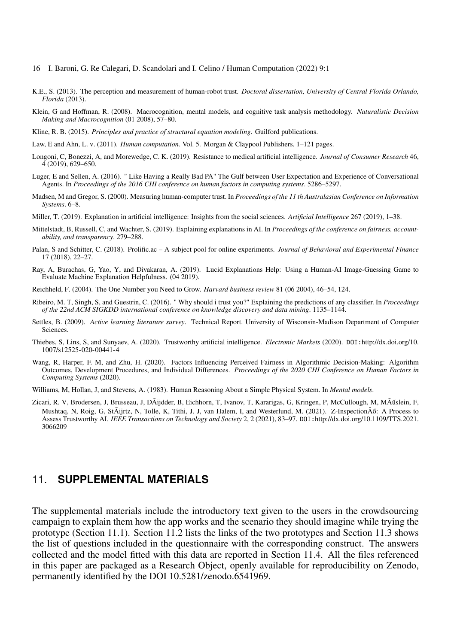- 16 I. Baroni, G. Re Calegari, D. Scandolari and I. Celino / Human Computation (2022) 9:1
- <span id="page-15-13"></span>K.E., S. (2013). The perception and measurement of human-robot trust. *Doctoral dissertation, University of Central Florida Orlando, Florida* (2013).
- <span id="page-15-11"></span>Klein, G and Hoffman, R. (2008). Macrocognition, mental models, and cognitive task analysis methodology. *Naturalistic Decision Making and Macrocognition* (01 2008), 57–80.
- <span id="page-15-17"></span>Kline, R. B. (2015). *Principles and practice of structural equation modeling*. Guilford publications.
- <span id="page-15-0"></span>Law, E and Ahn, L. v. (2011). *Human computation*. Vol. 5. Morgan & Claypool Publishers. 1–121 pages.
- <span id="page-15-4"></span>Longoni, C, Bonezzi, A, and Morewedge, C. K. (2019). Resistance to medical artificial intelligence. *Journal of Consumer Research* 46, 4 (2019), 629–650.
- <span id="page-15-6"></span>Luger, E and Sellen, A. (2016). " Like Having a Really Bad PA" The Gulf between User Expectation and Experience of Conversational Agents. In *Proceedings of the 2016 CHI conference on human factors in computing systems*. 5286–5297.
- <span id="page-15-14"></span>Madsen, M and Gregor, S. (2000). Measuring human-computer trust. In *Proceedings of the 11 th Australasian Conference on Information Systems*. 6–8.
- <span id="page-15-10"></span>Miller, T. (2019). Explanation in artificial intelligence: Insights from the social sciences. *Artificial Intelligence* 267 (2019), 1–38.
- <span id="page-15-8"></span>Mittelstadt, B, Russell, C, and Wachter, S. (2019). Explaining explanations in AI. In *Proceedings of the conference on fairness, accountability, and transparency*. 279–288.
- <span id="page-15-15"></span>Palan, S and Schitter, C. (2018). Prolific.ac – A subject pool for online experiments. *Journal of Behavioral and Experimental Finance* 17 (2018), 22–27.
- <span id="page-15-5"></span>Ray, A, Burachas, G, Yao, Y, and Divakaran, A. (2019). Lucid Explanations Help: Using a Human-AI Image-Guessing Game to Evaluate Machine Explanation Helpfulness. (04 2019).
- <span id="page-15-16"></span>Reichheld, F. (2004). The One Number you Need to Grow. *Harvard business review* 81 (06 2004), 46–54, 124.
- <span id="page-15-7"></span>Ribeiro, M. T, Singh, S, and Guestrin, C. (2016). " Why should i trust you?" Explaining the predictions of any classifier. In *Proceedings of the 22nd ACM SIGKDD international conference on knowledge discovery and data mining*. 1135–1144.
- <span id="page-15-1"></span>Settles, B. (2009). *Active learning literature survey*. Technical Report. University of Wisconsin-Madison Department of Computer Sciences.
- <span id="page-15-3"></span>Thiebes, S, Lins, S, and Sunyaev, A. (2020). Trustworthy artificial intelligence. *Electronic Markets* (2020). DOI:[http://dx.doi.org/10.](http://dx.doi.org/10.1007/s12525-020-00441-4) [1007/s12525-020-00441-4](http://dx.doi.org/10.1007/s12525-020-00441-4)
- <span id="page-15-9"></span>Wang, R, Harper, F. M, and Zhu, H. (2020). Factors Influencing Perceived Fairness in Algorithmic Decision-Making: Algorithm Outcomes, Development Procedures, and Individual Differences. *Proceedings of the 2020 CHI Conference on Human Factors in Computing Systems* (2020).
- <span id="page-15-12"></span>Williams, M, Hollan, J, and Stevens, A. (1983). Human Reasoning About a Simple Physical System. In *Mental models*.
- <span id="page-15-2"></span>Zicari, R. V, Brodersen, J, Brusseau, J, DÃijdder, B, Eichhorn, T, Ivanov, T, Kararigas, G, Kringen, P, McCullough, M, MÃ ˝uslein, F, Mushtaq, N, Roig, G, StÃijrtz, N, Tolle, K, Tithi, J. J, van Halem, I, and Westerlund, M. (2021). Z-InspectionÂő: A Process to Assess Trustworthy AI. *IEEE Transactions on Technology and Society* 2, 2 (2021), 83–97. DOI:[http://dx.doi.org/10.1109/TTS.2021.](http://dx.doi.org/10.1109/TTS.2021.3066209) [3066209](http://dx.doi.org/10.1109/TTS.2021.3066209)

#### 11. **SUPPLEMENTAL MATERIALS**

The supplemental materials include the introductory text given to the users in the crowdsourcing campaign to explain them how the app works and the scenario they should imagine while trying the prototype (Section [11.1\)](#page-16-0). Section [11.2](#page-17-0) lists the links of the two prototypes and Section [11.3](#page-17-1) shows the list of questions included in the questionnaire with the corresponding construct. The answers collected and the model fitted with this data are reported in Section [11.4.](#page-20-0) All the files referenced in this paper are packaged as a Research Object, openly available for reproducibility on Zenodo, permanently identified by the DOI [10.5281/zenodo.6541969.](https://www.doi.org/10.5281/zenodo.6541969)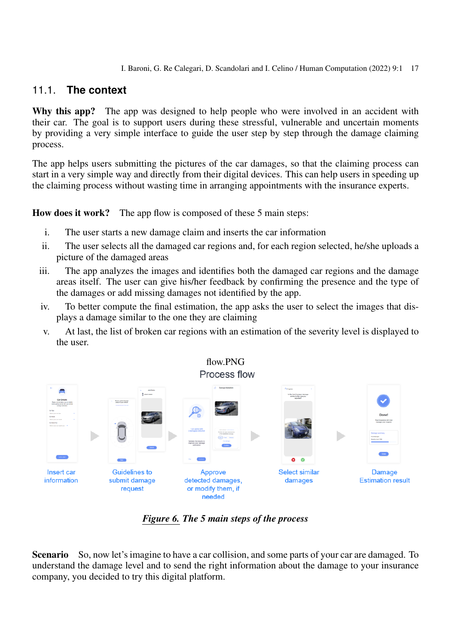### <span id="page-16-0"></span>11.1. **The context**

Why this app? The app was designed to help people who were involved in an accident with their car. The goal is to support users during these stressful, vulnerable and uncertain moments by providing a very simple interface to guide the user step by step through the damage claiming process.

The app helps users submitting the pictures of the car damages, so that the claiming process can start in a very simple way and directly from their digital devices. This can help users in speeding up the claiming process without wasting time in arranging appointments with the insurance experts.

How does it work? The app flow is composed of these 5 main steps:

- i. The user starts a new damage claim and inserts the car information
- ii. The user selects all the damaged car regions and, for each region selected, he/she uploads a picture of the damaged areas
- iii. The app analyzes the images and identifies both the damaged car regions and the damage areas itself. The user can give his/her feedback by confirming the presence and the type of the damages or add missing damages not identified by the app.
- iv. To better compute the final estimation, the app asks the user to select the images that displays a damage similar to the one they are claiming
- v. At last, the list of broken car regions with an estimation of the severity level is displayed to the user.



# flow.PNG

*Figure 6. The 5 main steps of the process*

Scenario So, now let's imagine to have a car collision, and some parts of your car are damaged. To understand the damage level and to send the right information about the damage to your insurance company, you decided to try this digital platform.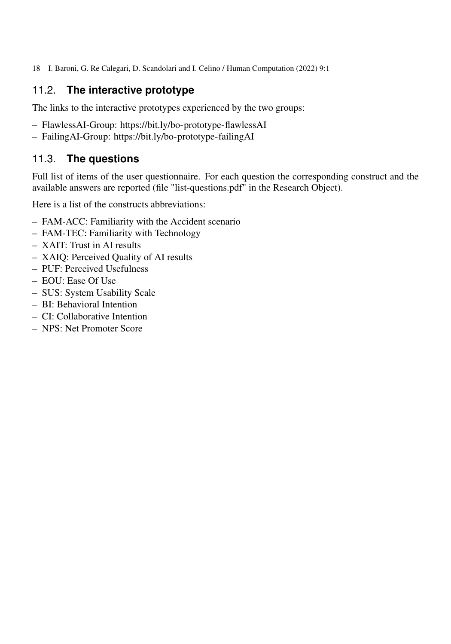## <span id="page-17-0"></span>11.2. **The interactive prototype**

The links to the interactive prototypes experienced by the two groups:

- [FlawlessAI-Group:](https://xd.adobe.com/view/c6b28b8a-117c-4894-a59d-20dfba1cef3e-93e1/?fullscreen&hints=off)<https://bit.ly/bo-prototype-flawlessAI>
- [FailingAI-Group:](https://xd.adobe.com/view/037a8ea5-6aa7-408a-a632-27e28eeb2b55-5629/?fullscreen&hints=off)<https://bit.ly/bo-prototype-failingAI>

### <span id="page-17-1"></span>11.3. **The questions**

Full list of items of the user questionnaire. For each question the corresponding construct and the available answers are reported (file "list-questions.pdf" in the [Research Object\)](https://www.doi.org/10.5281/zenodo.6541969).

Here is a list of the constructs abbreviations:

- FAM-ACC: Familiarity with the Accident scenario
- FAM-TEC: Familiarity with Technology
- XAIT: Trust in AI results
- XAIQ: Perceived Quality of AI results
- PUF: Perceived Usefulness
- EOU: Ease Of Use
- SUS: System Usability Scale
- BI: Behavioral Intention
- CI: Collaborative Intention
- NPS: Net Promoter Score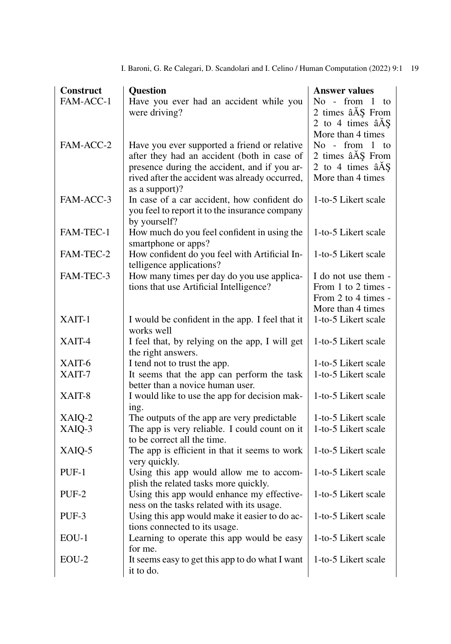| Construct | <b>Question</b>                                                                             | <b>Answer values</b>                       |
|-----------|---------------------------------------------------------------------------------------------|--------------------------------------------|
| FAM-ACC-1 | Have you ever had an accident while you                                                     | No - from 1 to                             |
|           | were driving?                                                                               | 2 times âÅŞ From                           |
|           |                                                                                             | 2 to 4 times $âA§$                         |
|           |                                                                                             | More than 4 times                          |
| FAM-ACC-2 | Have you ever supported a friend or relative                                                | No - from 1 to                             |
|           | after they had an accident (both in case of<br>presence during the accident, and if you ar- | 2 times âÅŞ From<br>2 to 4 times $âA§$     |
|           | rived after the accident was already occurred,                                              | More than 4 times                          |
|           | as a support)?                                                                              |                                            |
| FAM-ACC-3 | In case of a car accident, how confident do                                                 | 1-to-5 Likert scale                        |
|           | you feel to report it to the insurance company                                              |                                            |
|           | by yourself?                                                                                |                                            |
| FAM-TEC-1 | How much do you feel confident in using the                                                 | 1-to-5 Likert scale                        |
|           | smartphone or apps?                                                                         |                                            |
| FAM-TEC-2 | How confident do you feel with Artificial In-                                               | 1-to-5 Likert scale                        |
| FAM-TEC-3 | telligence applications?<br>How many times per day do you use applica-                      |                                            |
|           | tions that use Artificial Intelligence?                                                     | I do not use them -<br>From 1 to 2 times - |
|           |                                                                                             | From 2 to 4 times -                        |
|           |                                                                                             | More than 4 times                          |
| XAIT-1    | I would be confident in the app. I feel that it                                             | 1-to-5 Likert scale                        |
|           | works well                                                                                  |                                            |
| XAIT-4    | I feel that, by relying on the app, I will get                                              | 1-to-5 Likert scale                        |
|           | the right answers.                                                                          |                                            |
| XAIT-6    | I tend not to trust the app.                                                                | 1-to-5 Likert scale                        |
| XAIT-7    | It seems that the app can perform the task                                                  | 1-to-5 Likert scale                        |
| XAIT-8    | better than a novice human user.<br>I would like to use the app for decision mak-           | 1-to-5 Likert scale                        |
|           | ing.                                                                                        |                                            |
| XAIQ-2    | The outputs of the app are very predictable                                                 | 1-to-5 Likert scale                        |
| XAIQ-3    | The app is very reliable. I could count on it                                               | 1-to-5 Likert scale                        |
|           | to be correct all the time.                                                                 |                                            |
| XAIQ-5    | The app is efficient in that it seems to work                                               | 1-to-5 Likert scale                        |
|           | very quickly.                                                                               |                                            |
| PUF-1     | Using this app would allow me to accom-                                                     | 1-to-5 Likert scale                        |
|           | plish the related tasks more quickly.                                                       |                                            |
| PUF-2     | Using this app would enhance my effective-<br>ness on the tasks related with its usage.     | 1-to-5 Likert scale                        |
| PUF-3     | Using this app would make it easier to do ac-                                               | 1-to-5 Likert scale                        |
|           | tions connected to its usage.                                                               |                                            |
| $EOU-1$   | Learning to operate this app would be easy                                                  | 1-to-5 Likert scale                        |
|           | for me.                                                                                     |                                            |
| $EOU-2$   | It seems easy to get this app to do what I want                                             | 1-to-5 Likert scale                        |
|           | it to do.                                                                                   |                                            |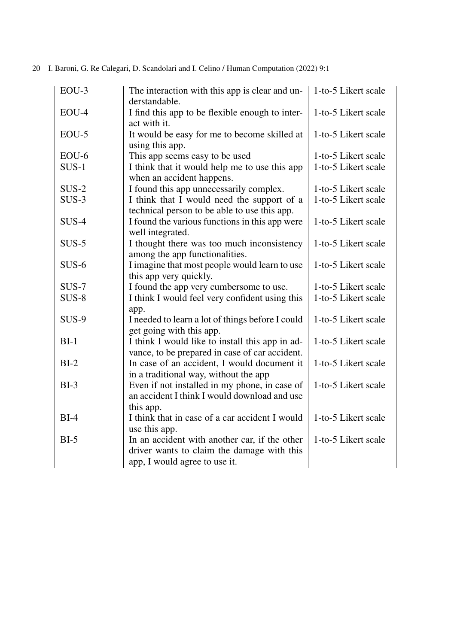| EOU-3   | The interaction with this app is clear and un-<br>derstandable.                                            | 1-to-5 Likert scale |
|---------|------------------------------------------------------------------------------------------------------------|---------------------|
| EOU-4   | I find this app to be flexible enough to inter-<br>act with it.                                            | 1-to-5 Likert scale |
| $EOU-5$ | It would be easy for me to become skilled at<br>using this app.                                            | 1-to-5 Likert scale |
| EOU-6   | This app seems easy to be used                                                                             | 1-to-5 Likert scale |
| $SUS-1$ | I think that it would help me to use this app<br>when an accident happens.                                 | 1-to-5 Likert scale |
| $SUS-2$ | I found this app unnecessarily complex.                                                                    | 1-to-5 Likert scale |
| $SUS-3$ | I think that I would need the support of a                                                                 | 1-to-5 Likert scale |
|         | technical person to be able to use this app.                                                               |                     |
| $SUS-4$ | I found the various functions in this app were<br>well integrated.                                         | 1-to-5 Likert scale |
| $SUS-5$ | I thought there was too much inconsistency<br>among the app functionalities.                               | 1-to-5 Likert scale |
| $SUS-6$ | I imagine that most people would learn to use<br>this app very quickly.                                    | 1-to-5 Likert scale |
| $SUS-7$ | I found the app very cumbersome to use.                                                                    | 1-to-5 Likert scale |
| $SUS-8$ | I think I would feel very confident using this<br>app.                                                     | 1-to-5 Likert scale |
| SUS-9   | I needed to learn a lot of things before I could<br>get going with this app.                               | 1-to-5 Likert scale |
| $BI-1$  | I think I would like to install this app in ad-<br>vance, to be prepared in case of car accident.          | 1-to-5 Likert scale |
| $BI-2$  | In case of an accident, I would document it<br>in a traditional way, without the app                       | 1-to-5 Likert scale |
| $BI-3$  | Even if not installed in my phone, in case of<br>an accident I think I would download and use<br>this app. | 1-to-5 Likert scale |
| $BI-4$  | I think that in case of a car accident I would                                                             | 1-to-5 Likert scale |
|         | use this app.                                                                                              |                     |
| $BI-5$  | In an accident with another car, if the other                                                              | 1-to-5 Likert scale |
|         | driver wants to claim the damage with this                                                                 |                     |
|         | app, I would agree to use it.                                                                              |                     |
|         |                                                                                                            |                     |